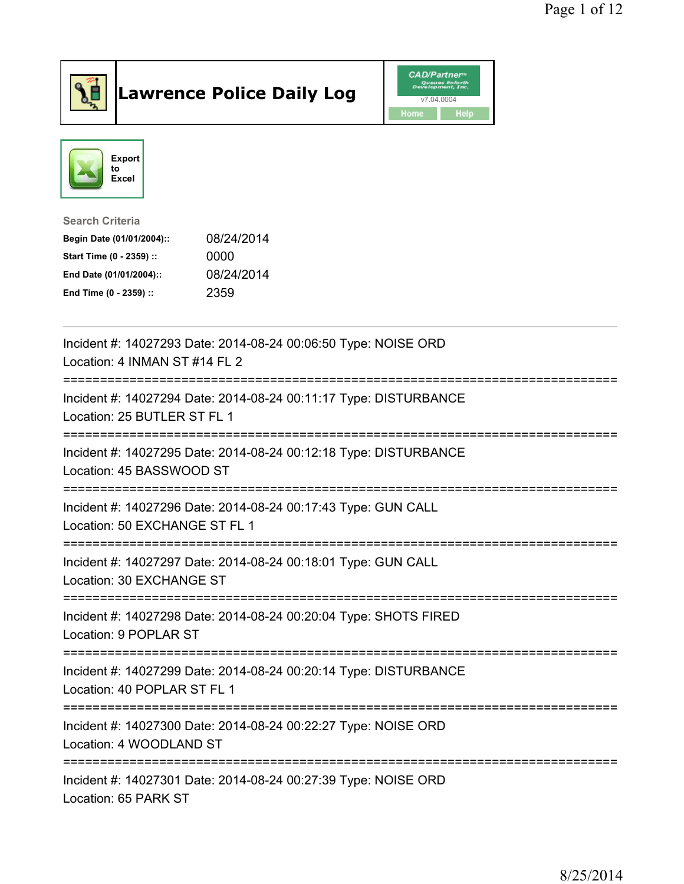

## Lawrence Police Daily Log Value of the VAD/Partner





Search Criteria

| Begin Date (01/01/2004):: | 08/24/2014 |
|---------------------------|------------|
| Start Time (0 - 2359) ::  | 0000       |
| End Date (01/01/2004)::   | 08/24/2014 |
| End Time (0 - 2359) ::    | 2359       |

| Incident #: 14027293 Date: 2014-08-24 00:06:50 Type: NOISE ORD<br>Location: 4 INMAN ST #14 FL 2                                         |
|-----------------------------------------------------------------------------------------------------------------------------------------|
| Incident #: 14027294 Date: 2014-08-24 00:11:17 Type: DISTURBANCE<br>Location: 25 BUTLER ST FL 1                                         |
| Incident #: 14027295 Date: 2014-08-24 00:12:18 Type: DISTURBANCE<br>Location: 45 BASSWOOD ST                                            |
| Incident #: 14027296 Date: 2014-08-24 00:17:43 Type: GUN CALL<br>Location: 50 EXCHANGE ST FL 1<br>------------------------------------- |
| Incident #: 14027297 Date: 2014-08-24 00:18:01 Type: GUN CALL<br>Location: 30 EXCHANGE ST                                               |
| Incident #: 14027298 Date: 2014-08-24 00:20:04 Type: SHOTS FIRED<br>Location: 9 POPLAR ST                                               |
| Incident #: 14027299 Date: 2014-08-24 00:20:14 Type: DISTURBANCE<br>Location: 40 POPLAR ST FL 1                                         |
| Incident #: 14027300 Date: 2014-08-24 00:22:27 Type: NOISE ORD<br>Location: 4 WOODLAND ST<br>------------------------------------       |
| Incident #: 14027301 Date: 2014-08-24 00:27:39 Type: NOISE ORD<br>Location: 65 PARK ST                                                  |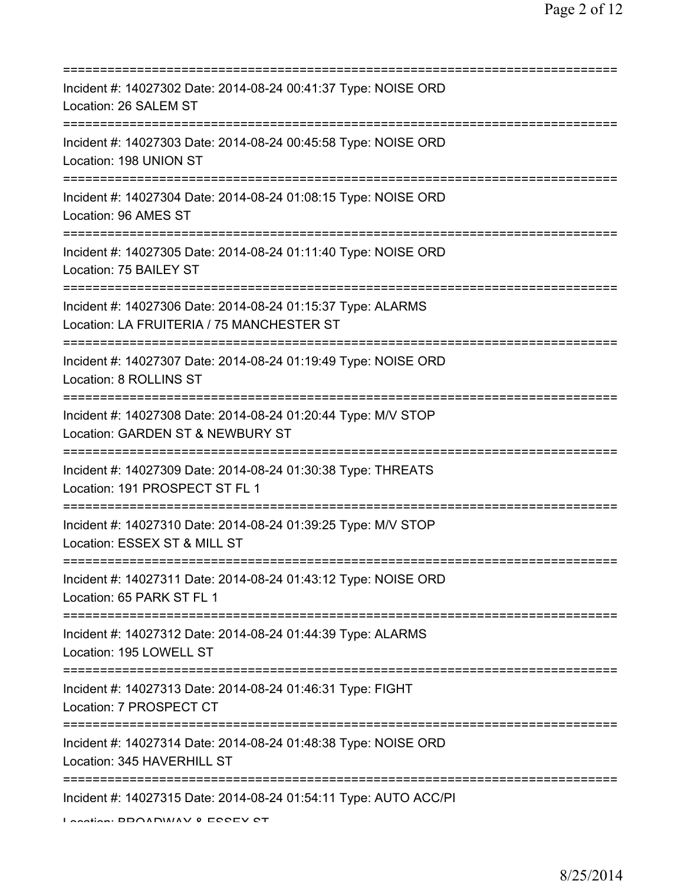| Incident #: 14027302 Date: 2014-08-24 00:41:37 Type: NOISE ORD<br>Location: 26 SALEM ST                                             |
|-------------------------------------------------------------------------------------------------------------------------------------|
| Incident #: 14027303 Date: 2014-08-24 00:45:58 Type: NOISE ORD<br>Location: 198 UNION ST<br>------------------------------------    |
| Incident #: 14027304 Date: 2014-08-24 01:08:15 Type: NOISE ORD<br>Location: 96 AMES ST                                              |
| Incident #: 14027305 Date: 2014-08-24 01:11:40 Type: NOISE ORD<br>Location: 75 BAILEY ST                                            |
| Incident #: 14027306 Date: 2014-08-24 01:15:37 Type: ALARMS<br>Location: LA FRUITERIA / 75 MANCHESTER ST                            |
| Incident #: 14027307 Date: 2014-08-24 01:19:49 Type: NOISE ORD<br>Location: 8 ROLLINS ST                                            |
| Incident #: 14027308 Date: 2014-08-24 01:20:44 Type: M/V STOP<br>Location: GARDEN ST & NEWBURY ST<br>============================== |
| Incident #: 14027309 Date: 2014-08-24 01:30:38 Type: THREATS<br>Location: 191 PROSPECT ST FL 1                                      |
| Incident #: 14027310 Date: 2014-08-24 01:39:25 Type: M/V STOP<br>Location: ESSEX ST & MILL ST                                       |
| Incident #: 14027311 Date: 2014-08-24 01:43:12 Type: NOISE ORD<br>Location: 65 PARK ST FL 1                                         |
| :===============<br>Incident #: 14027312 Date: 2014-08-24 01:44:39 Type: ALARMS<br>Location: 195 LOWELL ST                          |
| Incident #: 14027313 Date: 2014-08-24 01:46:31 Type: FIGHT<br>Location: 7 PROSPECT CT                                               |
| Incident #: 14027314 Date: 2014-08-24 01:48:38 Type: NOISE ORD<br>Location: 345 HAVERHILL ST                                        |
| Incident #: 14027315 Date: 2014-08-24 01:54:11 Type: AUTO ACC/PI<br>Lootion DDOADMIAV 0 ECCEV CT                                    |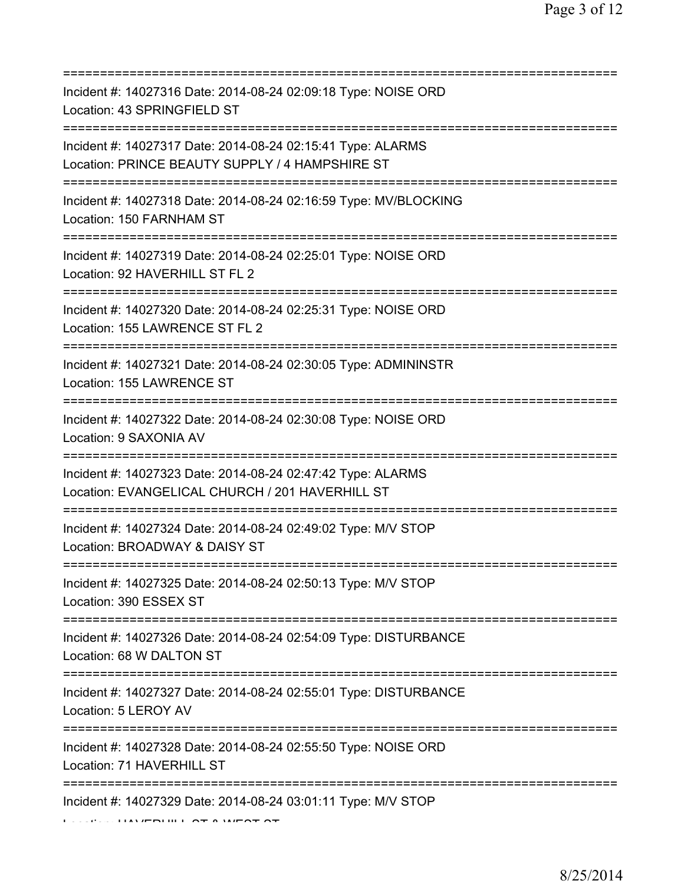| Incident #: 14027316 Date: 2014-08-24 02:09:18 Type: NOISE ORD<br>Location: 43 SPRINGFIELD ST<br>=======================              |
|---------------------------------------------------------------------------------------------------------------------------------------|
| Incident #: 14027317 Date: 2014-08-24 02:15:41 Type: ALARMS<br>Location: PRINCE BEAUTY SUPPLY / 4 HAMPSHIRE ST                        |
| Incident #: 14027318 Date: 2014-08-24 02:16:59 Type: MV/BLOCKING<br>Location: 150 FARNHAM ST                                          |
| Incident #: 14027319 Date: 2014-08-24 02:25:01 Type: NOISE ORD<br>Location: 92 HAVERHILL ST FL 2                                      |
| Incident #: 14027320 Date: 2014-08-24 02:25:31 Type: NOISE ORD<br>Location: 155 LAWRENCE ST FL 2                                      |
| Incident #: 14027321 Date: 2014-08-24 02:30:05 Type: ADMININSTR<br>Location: 155 LAWRENCE ST<br>===================================== |
| Incident #: 14027322 Date: 2014-08-24 02:30:08 Type: NOISE ORD<br>Location: 9 SAXONIA AV                                              |
| Incident #: 14027323 Date: 2014-08-24 02:47:42 Type: ALARMS<br>Location: EVANGELICAL CHURCH / 201 HAVERHILL ST                        |
| Incident #: 14027324 Date: 2014-08-24 02:49:02 Type: M/V STOP<br>Location: BROADWAY & DAISY ST                                        |
| Incident #: 14027325 Date: 2014-08-24 02:50:13 Type: M/V STOP<br>Location: 390 ESSEX ST                                               |
| Incident #: 14027326 Date: 2014-08-24 02:54:09 Type: DISTURBANCE<br>Location: 68 W DALTON ST                                          |
| Incident #: 14027327 Date: 2014-08-24 02:55:01 Type: DISTURBANCE<br>Location: 5 LEROY AV                                              |
| Incident #: 14027328 Date: 2014-08-24 02:55:50 Type: NOISE ORD<br>Location: 71 HAVERHILL ST                                           |
| Incident #: 14027329 Date: 2014-08-24 03:01:11 Type: M/V STOP                                                                         |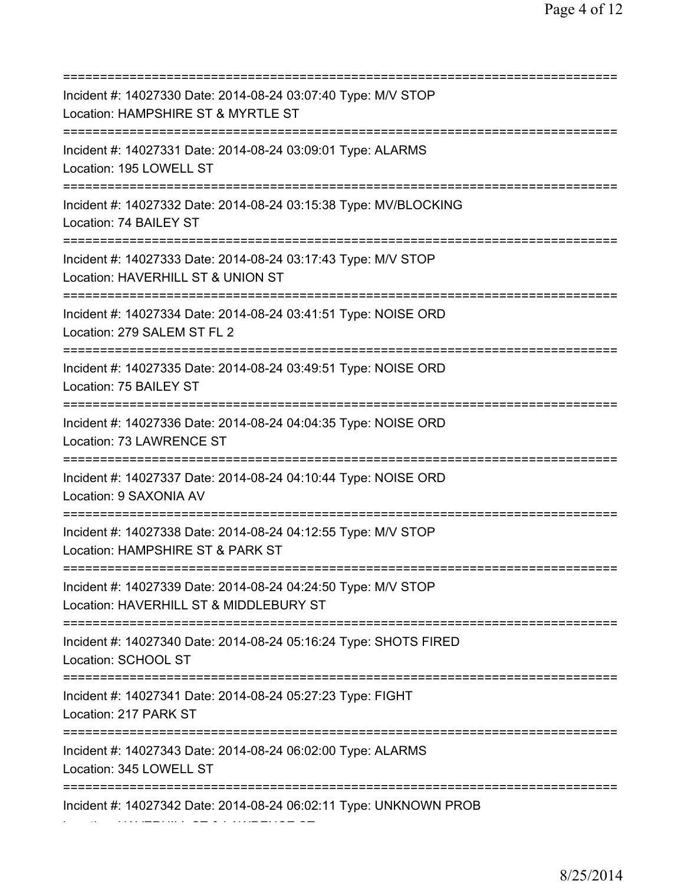=========================================================================== Incident #: 14027330 Date: 2014-08-24 03:07:40 Type: M/V STOP Location: HAMPSHIRE ST & MYRTLE ST =========================================================================== Incident #: 14027331 Date: 2014-08-24 03:09:01 Type: ALARMS Location: 195 LOWELL ST =========================================================================== Incident #: 14027332 Date: 2014-08-24 03:15:38 Type: MV/BLOCKING Location: 74 BAILEY ST =========================================================================== Incident #: 14027333 Date: 2014-08-24 03:17:43 Type: M/V STOP Location: HAVERHILL ST & UNION ST =========================================================================== Incident #: 14027334 Date: 2014-08-24 03:41:51 Type: NOISE ORD Location: 279 SALEM ST FL 2 =========================================================================== Incident #: 14027335 Date: 2014-08-24 03:49:51 Type: NOISE ORD Location: 75 BAILEY ST =========================================================================== Incident #: 14027336 Date: 2014-08-24 04:04:35 Type: NOISE ORD Location: 73 LAWRENCE ST =========================================================================== Incident #: 14027337 Date: 2014-08-24 04:10:44 Type: NOISE ORD Location: 9 SAXONIA AV =========================================================================== Incident #: 14027338 Date: 2014-08-24 04:12:55 Type: M/V STOP Location: HAMPSHIRE ST & PARK ST =========================================================================== Incident #: 14027339 Date: 2014-08-24 04:24:50 Type: M/V STOP Location: HAVERHILL ST & MIDDLEBURY ST =========================================================================== Incident #: 14027340 Date: 2014-08-24 05:16:24 Type: SHOTS FIRED Location: SCHOOL ST =========================================================================== Incident #: 14027341 Date: 2014-08-24 05:27:23 Type: FIGHT Location: 217 PARK ST =========================================================================== Incident #: 14027343 Date: 2014-08-24 06:02:00 Type: ALARMS Location: 345 LOWELL ST =========================================================================== Incident #: 14027342 Date: 2014-08-24 06:02:11 Type: UNKNOWN PROB Location: HAVERHILL ST & LAWRENCE ST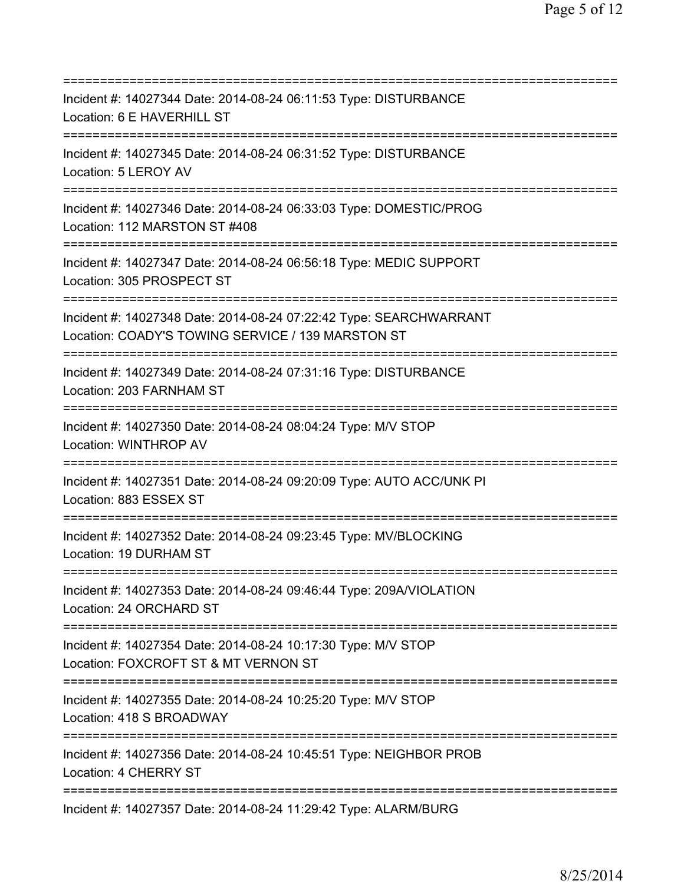| Incident #: 14027344 Date: 2014-08-24 06:11:53 Type: DISTURBANCE<br>Location: 6 E HAVERHILL ST                                                |
|-----------------------------------------------------------------------------------------------------------------------------------------------|
| Incident #: 14027345 Date: 2014-08-24 06:31:52 Type: DISTURBANCE<br>Location: 5 LEROY AV                                                      |
| Incident #: 14027346 Date: 2014-08-24 06:33:03 Type: DOMESTIC/PROG<br>Location: 112 MARSTON ST #408<br>====================================== |
| Incident #: 14027347 Date: 2014-08-24 06:56:18 Type: MEDIC SUPPORT<br>Location: 305 PROSPECT ST<br>=====================================      |
| Incident #: 14027348 Date: 2014-08-24 07:22:42 Type: SEARCHWARRANT<br>Location: COADY'S TOWING SERVICE / 139 MARSTON ST                       |
| Incident #: 14027349 Date: 2014-08-24 07:31:16 Type: DISTURBANCE<br>Location: 203 FARNHAM ST                                                  |
| Incident #: 14027350 Date: 2014-08-24 08:04:24 Type: M/V STOP<br>Location: WINTHROP AV                                                        |
| Incident #: 14027351 Date: 2014-08-24 09:20:09 Type: AUTO ACC/UNK PI<br>Location: 883 ESSEX ST                                                |
| Incident #: 14027352 Date: 2014-08-24 09:23:45 Type: MV/BLOCKING<br>Location: 19 DURHAM ST                                                    |
| Incident #: 14027353 Date: 2014-08-24 09:46:44 Type: 209A/VIOLATION<br>Location: 24 ORCHARD ST                                                |
| Incident #: 14027354 Date: 2014-08-24 10:17:30 Type: M/V STOP<br>Location: FOXCROFT ST & MT VERNON ST                                         |
| Incident #: 14027355 Date: 2014-08-24 10:25:20 Type: M/V STOP<br>Location: 418 S BROADWAY                                                     |
| ====================================<br>Incident #: 14027356 Date: 2014-08-24 10:45:51 Type: NEIGHBOR PROB<br>Location: 4 CHERRY ST           |
| Incident #: 14027357 Date: 2014-08-24 11:29:42 Type: ALARM/BURG                                                                               |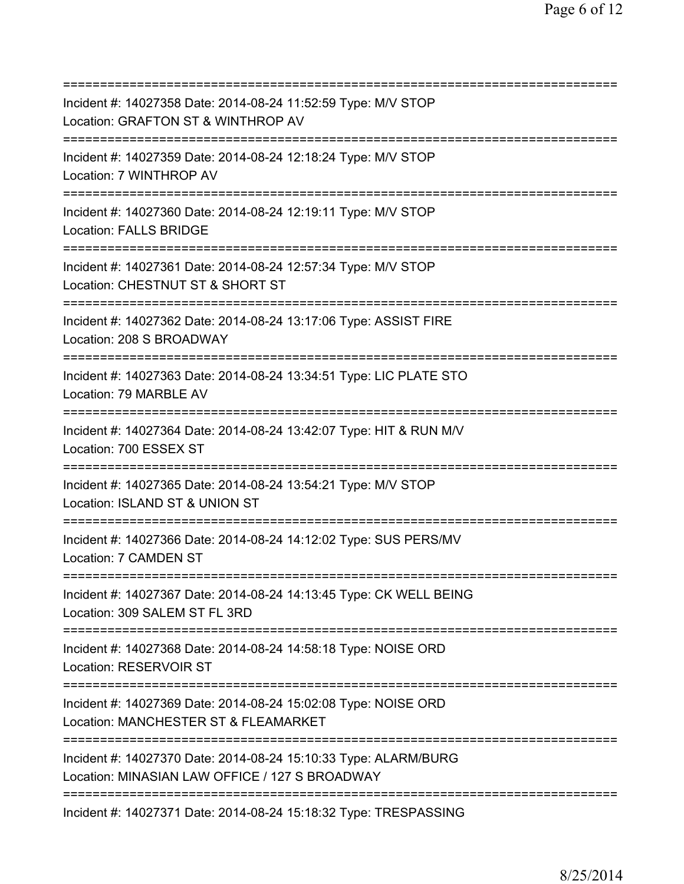=========================================================================== Incident #: 14027358 Date: 2014-08-24 11:52:59 Type: M/V STOP Location: GRAFTON ST & WINTHROP AV =========================================================================== Incident #: 14027359 Date: 2014-08-24 12:18:24 Type: M/V STOP Location: 7 WINTHROP AV =========================================================================== Incident #: 14027360 Date: 2014-08-24 12:19:11 Type: M/V STOP Location: FALLS BRIDGE =========================================================================== Incident #: 14027361 Date: 2014-08-24 12:57:34 Type: M/V STOP Location: CHESTNUT ST & SHORT ST =========================================================================== Incident #: 14027362 Date: 2014-08-24 13:17:06 Type: ASSIST FIRE Location: 208 S BROADWAY =========================================================================== Incident #: 14027363 Date: 2014-08-24 13:34:51 Type: LIC PLATE STO Location: 79 MARBLE AV =========================================================================== Incident #: 14027364 Date: 2014-08-24 13:42:07 Type: HIT & RUN M/V Location: 700 ESSEX ST =========================================================================== Incident #: 14027365 Date: 2014-08-24 13:54:21 Type: M/V STOP Location: ISLAND ST & UNION ST =========================================================================== Incident #: 14027366 Date: 2014-08-24 14:12:02 Type: SUS PERS/MV Location: 7 CAMDEN ST =========================================================================== Incident #: 14027367 Date: 2014-08-24 14:13:45 Type: CK WELL BEING Location: 309 SALEM ST FL 3RD =========================================================================== Incident #: 14027368 Date: 2014-08-24 14:58:18 Type: NOISE ORD Location: RESERVOIR ST =========================================================================== Incident #: 14027369 Date: 2014-08-24 15:02:08 Type: NOISE ORD Location: MANCHESTER ST & FLEAMARKET =========================================================================== Incident #: 14027370 Date: 2014-08-24 15:10:33 Type: ALARM/BURG Location: MINASIAN LAW OFFICE / 127 S BROADWAY =========================================================================== Incident #: 14027371 Date: 2014-08-24 15:18:32 Type: TRESPASSING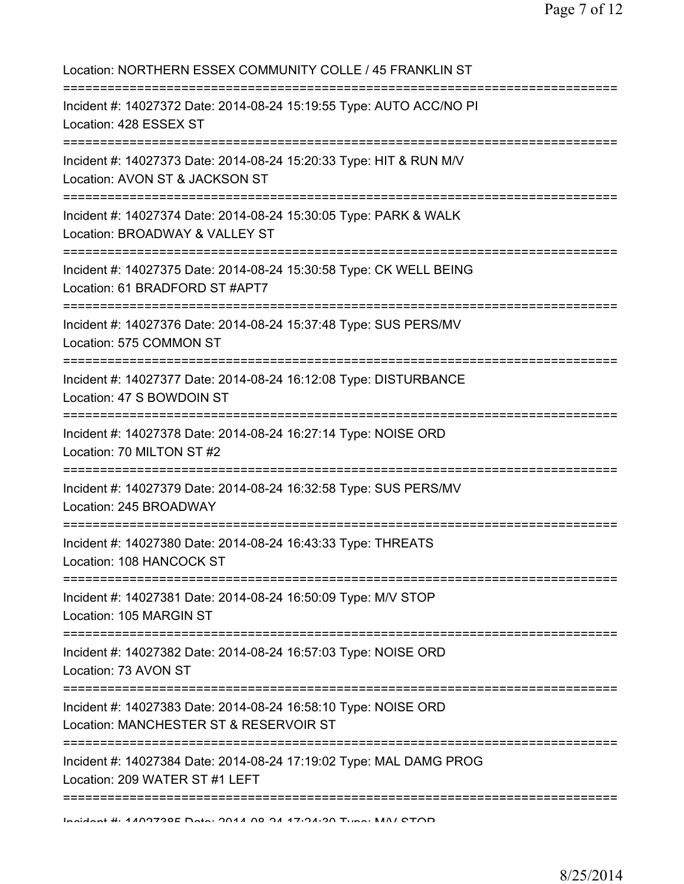| Location: NORTHERN ESSEX COMMUNITY COLLE / 45 FRANKLIN ST                                                                         |
|-----------------------------------------------------------------------------------------------------------------------------------|
| Incident #: 14027372 Date: 2014-08-24 15:19:55 Type: AUTO ACC/NO PI<br>Location: 428 ESSEX ST                                     |
| Incident #: 14027373 Date: 2014-08-24 15:20:33 Type: HIT & RUN M/V<br>Location: AVON ST & JACKSON ST                              |
| Incident #: 14027374 Date: 2014-08-24 15:30:05 Type: PARK & WALK<br>Location: BROADWAY & VALLEY ST                                |
| Incident #: 14027375 Date: 2014-08-24 15:30:58 Type: CK WELL BEING<br>Location: 61 BRADFORD ST #APT7                              |
| Incident #: 14027376 Date: 2014-08-24 15:37:48 Type: SUS PERS/MV<br>Location: 575 COMMON ST                                       |
| Incident #: 14027377 Date: 2014-08-24 16:12:08 Type: DISTURBANCE<br>Location: 47 S BOWDOIN ST                                     |
| Incident #: 14027378 Date: 2014-08-24 16:27:14 Type: NOISE ORD<br>Location: 70 MILTON ST #2                                       |
| Incident #: 14027379 Date: 2014-08-24 16:32:58 Type: SUS PERS/MV<br>Location: 245 BROADWAY                                        |
| Incident #: 14027380 Date: 2014-08-24 16:43:33 Type: THREATS<br>Location: 108 HANCOCK ST                                          |
| Incident #: 14027381 Date: 2014-08-24 16:50:09 Type: M/V STOP<br>Location: 105 MARGIN ST                                          |
| Incident #: 14027382 Date: 2014-08-24 16:57:03 Type: NOISE ORD<br>Location: 73 AVON ST                                            |
| ;====================<br>Incident #: 14027383 Date: 2014-08-24 16:58:10 Type: NOISE ORD<br>Location: MANCHESTER ST & RESERVOIR ST |
| Incident #: 14027384 Date: 2014-08-24 17:19:02 Type: MAL DAMG PROG<br>Location: 209 WATER ST #1 LEFT                              |
|                                                                                                                                   |

Incident #: 14027385 Date: 2014 08 24 17:24:30 Type: M/V STOP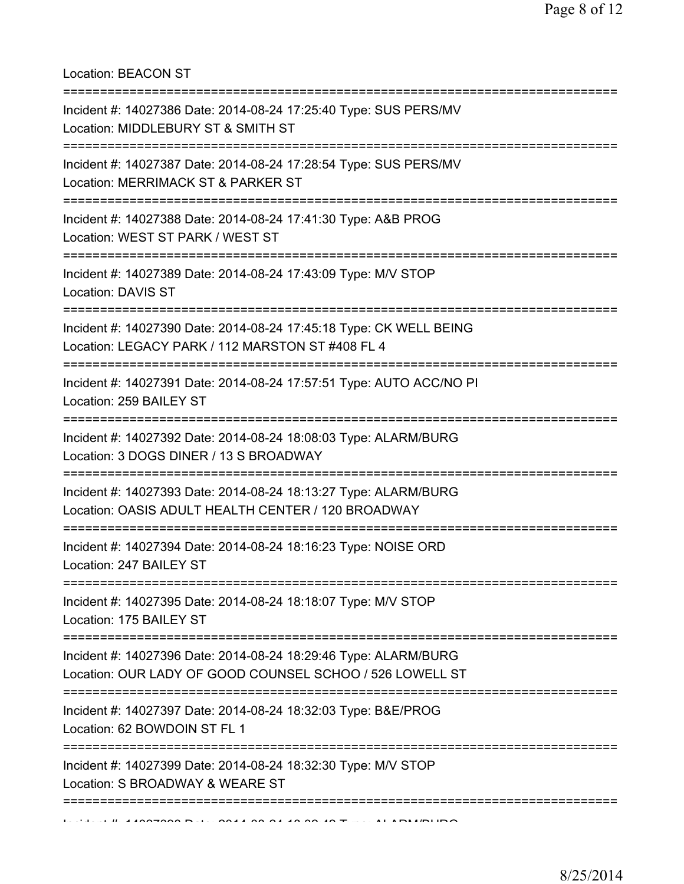Location: BEACON ST

| Incident #: 14027386 Date: 2014-08-24 17:25:40 Type: SUS PERS/MV<br>Location: MIDDLEBURY ST & SMITH ST                                       |
|----------------------------------------------------------------------------------------------------------------------------------------------|
| Incident #: 14027387 Date: 2014-08-24 17:28:54 Type: SUS PERS/MV<br>Location: MERRIMACK ST & PARKER ST                                       |
| Incident #: 14027388 Date: 2014-08-24 17:41:30 Type: A&B PROG<br>Location: WEST ST PARK / WEST ST                                            |
| Incident #: 14027389 Date: 2014-08-24 17:43:09 Type: M/V STOP<br>Location: DAVIS ST                                                          |
| Incident #: 14027390 Date: 2014-08-24 17:45:18 Type: CK WELL BEING<br>Location: LEGACY PARK / 112 MARSTON ST #408 FL 4<br>------------------ |
| Incident #: 14027391 Date: 2014-08-24 17:57:51 Type: AUTO ACC/NO PI<br>Location: 259 BAILEY ST                                               |
| Incident #: 14027392 Date: 2014-08-24 18:08:03 Type: ALARM/BURG<br>Location: 3 DOGS DINER / 13 S BROADWAY                                    |
| Incident #: 14027393 Date: 2014-08-24 18:13:27 Type: ALARM/BURG<br>Location: OASIS ADULT HEALTH CENTER / 120 BROADWAY                        |
| Incident #: 14027394 Date: 2014-08-24 18:16:23 Type: NOISE ORD<br>Location: 247 BAILEY ST                                                    |
| Incident #: 14027395 Date: 2014-08-24 18:18:07 Type: M/V STOP<br>Location: 175 BAILEY ST                                                     |
| Incident #: 14027396 Date: 2014-08-24 18:29:46 Type: ALARM/BURG<br>Location: OUR LADY OF GOOD COUNSEL SCHOO / 526 LOWELL ST                  |
| Incident #: 14027397 Date: 2014-08-24 18:32:03 Type: B&E/PROG<br>Location: 62 BOWDOIN ST FL 1                                                |
| Incident #: 14027399 Date: 2014-08-24 18:32:30 Type: M/V STOP<br>Location: S BROADWAY & WEARE ST                                             |
|                                                                                                                                              |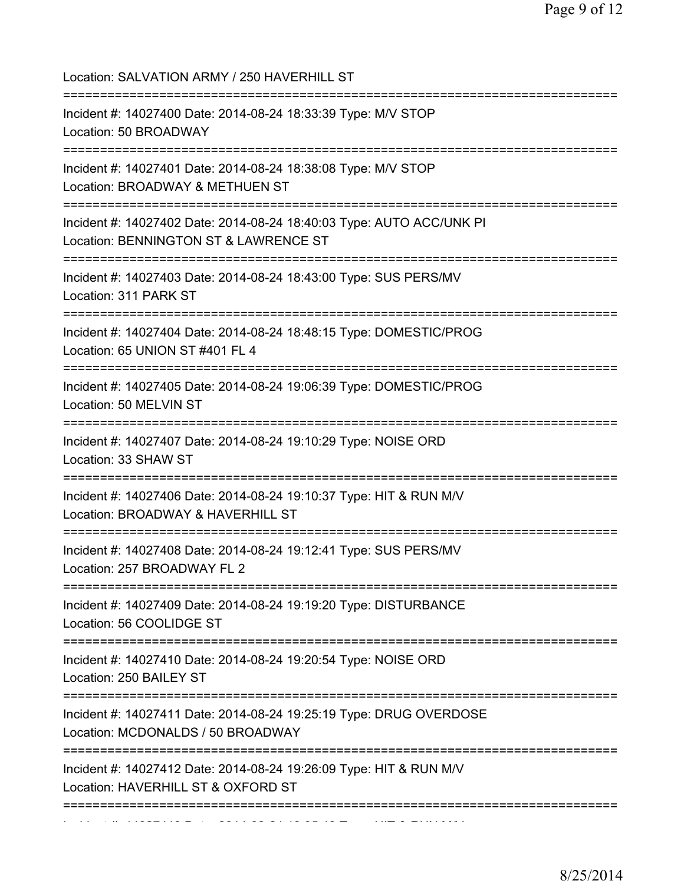| Location: SALVATION ARMY / 250 HAVERHILL ST                                                                                     |
|---------------------------------------------------------------------------------------------------------------------------------|
| Incident #: 14027400 Date: 2014-08-24 18:33:39 Type: M/V STOP<br>Location: 50 BROADWAY                                          |
| Incident #: 14027401 Date: 2014-08-24 18:38:08 Type: M/V STOP<br>Location: BROADWAY & METHUEN ST                                |
| Incident #: 14027402 Date: 2014-08-24 18:40:03 Type: AUTO ACC/UNK PI<br>Location: BENNINGTON ST & LAWRENCE ST                   |
| Incident #: 14027403 Date: 2014-08-24 18:43:00 Type: SUS PERS/MV<br>Location: 311 PARK ST                                       |
| Incident #: 14027404 Date: 2014-08-24 18:48:15 Type: DOMESTIC/PROG<br>Location: 65 UNION ST #401 FL 4                           |
| Incident #: 14027405 Date: 2014-08-24 19:06:39 Type: DOMESTIC/PROG<br>Location: 50 MELVIN ST                                    |
| Incident #: 14027407 Date: 2014-08-24 19:10:29 Type: NOISE ORD<br>Location: 33 SHAW ST                                          |
| Incident #: 14027406 Date: 2014-08-24 19:10:37 Type: HIT & RUN M/V<br>Location: BROADWAY & HAVERHILL ST                         |
| Incident #: 14027408 Date: 2014-08-24 19:12:41 Type: SUS PERS/MV<br>Location: 257 BROADWAY FL 2                                 |
| Incident #: 14027409 Date: 2014-08-24 19:19:20 Type: DISTURBANCE<br>Location: 56 COOLIDGE ST                                    |
| Incident #: 14027410 Date: 2014-08-24 19:20:54 Type: NOISE ORD<br>Location: 250 BAILEY ST                                       |
| Incident #: 14027411 Date: 2014-08-24 19:25:19 Type: DRUG OVERDOSE<br>Location: MCDONALDS / 50 BROADWAY                         |
| :==================<br>Incident #: 14027412 Date: 2014-08-24 19:26:09 Type: HIT & RUN M/V<br>Location: HAVERHILL ST & OXFORD ST |
|                                                                                                                                 |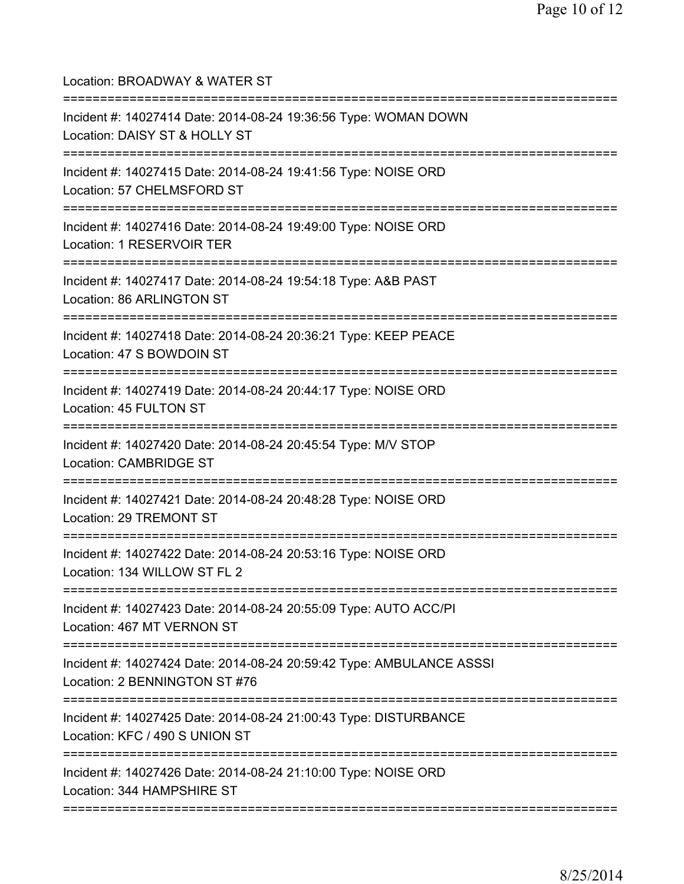Location: BROADWAY & WATER ST =========================================================================== Incident #: 14027414 Date: 2014-08-24 19:36:56 Type: WOMAN DOWN Location: DAISY ST & HOLLY ST =========================================================================== Incident #: 14027415 Date: 2014-08-24 19:41:56 Type: NOISE ORD Location: 57 CHELMSFORD ST =========================================================================== Incident #: 14027416 Date: 2014-08-24 19:49:00 Type: NOISE ORD Location: 1 RESERVOIR TER =========================================================================== Incident #: 14027417 Date: 2014-08-24 19:54:18 Type: A&B PAST Location: 86 ARLINGTON ST =========================================================================== Incident #: 14027418 Date: 2014-08-24 20:36:21 Type: KEEP PEACE Location: 47 S BOWDOIN ST =========================================================================== Incident #: 14027419 Date: 2014-08-24 20:44:17 Type: NOISE ORD Location: 45 FULTON ST =========================================================================== Incident #: 14027420 Date: 2014-08-24 20:45:54 Type: M/V STOP Location: CAMBRIDGE ST =========================================================================== Incident #: 14027421 Date: 2014-08-24 20:48:28 Type: NOISE ORD Location: 29 TREMONT ST =========================================================================== Incident #: 14027422 Date: 2014-08-24 20:53:16 Type: NOISE ORD Location: 134 WILLOW ST FL 2 =========================================================================== Incident #: 14027423 Date: 2014-08-24 20:55:09 Type: AUTO ACC/PI Location: 467 MT VERNON ST =========================================================================== Incident #: 14027424 Date: 2014-08-24 20:59:42 Type: AMBULANCE ASSSI Location: 2 BENNINGTON ST #76 =========================================================================== Incident #: 14027425 Date: 2014-08-24 21:00:43 Type: DISTURBANCE Location: KFC / 490 S UNION ST =========================================================================== Incident #: 14027426 Date: 2014-08-24 21:10:00 Type: NOISE ORD Location: 344 HAMPSHIRE ST ===========================================================================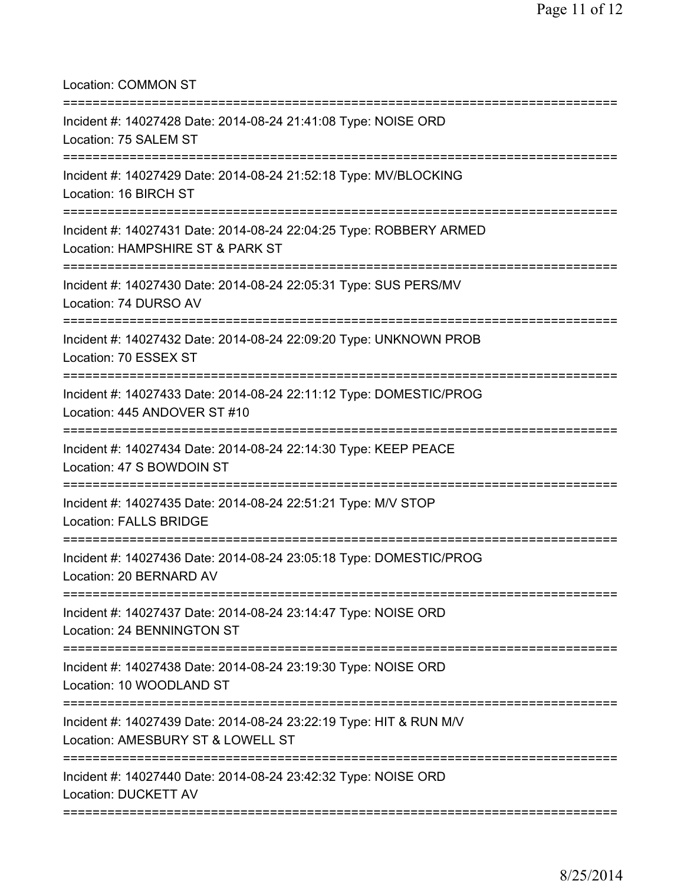Location: COMMON ST

| Incident #: 14027428 Date: 2014-08-24 21:41:08 Type: NOISE ORD<br>Location: 75 SALEM ST                             |
|---------------------------------------------------------------------------------------------------------------------|
| Incident #: 14027429 Date: 2014-08-24 21:52:18 Type: MV/BLOCKING<br>Location: 16 BIRCH ST<br>:===================== |
| Incident #: 14027431 Date: 2014-08-24 22:04:25 Type: ROBBERY ARMED<br>Location: HAMPSHIRE ST & PARK ST              |
| Incident #: 14027430 Date: 2014-08-24 22:05:31 Type: SUS PERS/MV<br>Location: 74 DURSO AV                           |
| Incident #: 14027432 Date: 2014-08-24 22:09:20 Type: UNKNOWN PROB<br>Location: 70 ESSEX ST                          |
| Incident #: 14027433 Date: 2014-08-24 22:11:12 Type: DOMESTIC/PROG<br>Location: 445 ANDOVER ST #10                  |
| Incident #: 14027434 Date: 2014-08-24 22:14:30 Type: KEEP PEACE<br>Location: 47 S BOWDOIN ST                        |
| Incident #: 14027435 Date: 2014-08-24 22:51:21 Type: M/V STOP<br><b>Location: FALLS BRIDGE</b>                      |
| Incident #: 14027436 Date: 2014-08-24 23:05:18 Type: DOMESTIC/PROG<br>Location: 20 BERNARD AV                       |
| Incident #: 14027437 Date: 2014-08-24 23:14:47 Type: NOISE ORD<br>Location: 24 BENNINGTON ST                        |
| Incident #: 14027438 Date: 2014-08-24 23:19:30 Type: NOISE ORD<br>Location: 10 WOODLAND ST                          |
| Incident #: 14027439 Date: 2014-08-24 23:22:19 Type: HIT & RUN M/V<br>Location: AMESBURY ST & LOWELL ST             |
| Incident #: 14027440 Date: 2014-08-24 23:42:32 Type: NOISE ORD<br>Location: DUCKETT AV                              |
|                                                                                                                     |